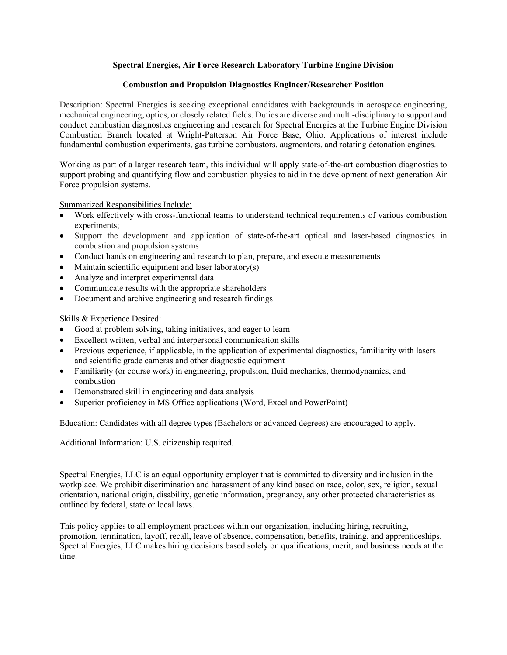## **Spectral Energies, Air Force Research Laboratory Turbine Engine Division**

## **Combustion and Propulsion Diagnostics Engineer/Researcher Position**

Description: Spectral Energies is seeking exceptional candidates with backgrounds in aerospace engineering, mechanical engineering, optics, or closely related fields. Duties are diverse and multi-disciplinary to support and conduct combustion diagnostics engineering and research for Spectral Energies at the Turbine Engine Division Combustion Branch located at Wright-Patterson Air Force Base, Ohio. Applications of interest include fundamental combustion experiments, gas turbine combustors, augmentors, and rotating detonation engines.

Working as part of a larger research team, this individual will apply state-of-the-art combustion diagnostics to support probing and quantifying flow and combustion physics to aid in the development of next generation Air Force propulsion systems.

Summarized Responsibilities Include:

- Work effectively with cross-functional teams to understand technical requirements of various combustion experiments;
- Support the development and application of state-of-the-art optical and laser-based diagnostics in combustion and propulsion systems
- Conduct hands on engineering and research to plan, prepare, and execute measurements
- Maintain scientific equipment and laser laboratory $(s)$
- Analyze and interpret experimental data
- Communicate results with the appropriate shareholders
- Document and archive engineering and research findings

## Skills & Experience Desired:

- Good at problem solving, taking initiatives, and eager to learn
- Excellent written, verbal and interpersonal communication skills
- Previous experience, if applicable, in the application of experimental diagnostics, familiarity with lasers and scientific grade cameras and other diagnostic equipment
- Familiarity (or course work) in engineering, propulsion, fluid mechanics, thermodynamics, and combustion
- Demonstrated skill in engineering and data analysis
- Superior proficiency in MS Office applications (Word, Excel and PowerPoint)

Education: Candidates with all degree types (Bachelors or advanced degrees) are encouraged to apply.

## Additional Information: U.S. citizenship required.

Spectral Energies, LLC is an equal opportunity employer that is committed to diversity and inclusion in the workplace. We prohibit discrimination and harassment of any kind based on race, color, sex, religion, sexual orientation, national origin, disability, genetic information, pregnancy, any other protected characteristics as outlined by federal, state or local laws.

This policy applies to all employment practices within our organization, including hiring, recruiting, promotion, termination, layoff, recall, leave of absence, compensation, benefits, training, and apprenticeships. Spectral Energies, LLC makes hiring decisions based solely on qualifications, merit, and business needs at the time.